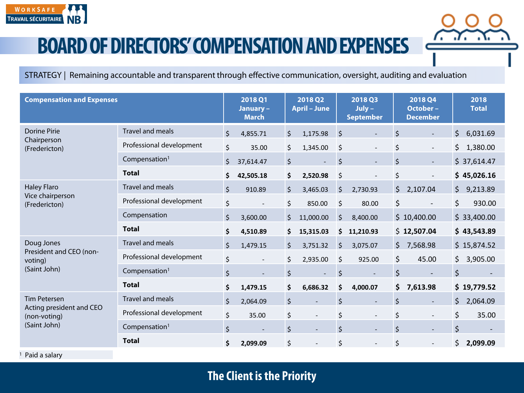

STRATEGY | Remaining accountable and transparent through effective communication, oversight, auditing and evaluation

| <b>Compensation and Expenses</b>                                                |                           |                                | 2018 Q1<br>January-<br><b>March</b> |         | 2018 Q2<br><b>April - June</b> |         | 2018 Q3<br>$July -$<br><b>September</b> |         | 2018 Q4<br>October-<br><b>December</b> |         | 2018<br><b>Total</b> |
|---------------------------------------------------------------------------------|---------------------------|--------------------------------|-------------------------------------|---------|--------------------------------|---------|-----------------------------------------|---------|----------------------------------------|---------|----------------------|
| <b>Dorine Pirie</b><br>Chairperson<br>(Fredericton)                             | Travel and meals          | $\zeta$                        | 4,855.71                            | $\zeta$ | 1,175.98                       | $\zeta$ |                                         | \$      |                                        | $\zeta$ | 6,031.69             |
|                                                                                 | Professional development  | \$                             | 35.00                               | \$      | 1,345.00                       | \$      |                                         | \$      | $\overline{\phantom{a}}$               | \$      | 1,380.00             |
|                                                                                 | Compensation <sup>1</sup> | $\zeta$                        | 37,614.47                           | $\zeta$ | $\overline{a}$                 | $\zeta$ |                                         | $\zeta$ | $\overline{\phantom{a}}$               |         | \$37,614.47          |
|                                                                                 | <b>Total</b>              | \$                             | 42,505.18                           | \$      | 2,520.98                       | \$      |                                         | \$      |                                        |         | \$45,026.16          |
| <b>Haley Flaro</b><br>Vice chairperson<br>(Fredericton)                         | Travel and meals          | $\zeta$                        | 910.89                              | $\zeta$ | 3,465.03                       | $\zeta$ | 2,730.93                                | \$      | 2,107.04                               | \$      | 9,213.89             |
|                                                                                 | Professional development  | \$                             |                                     | $\zeta$ | 850.00                         | $\zeta$ | 80.00                                   | \$      |                                        | \$      | 930.00               |
|                                                                                 | Compensation              | $\boldsymbol{\dot{\varsigma}}$ | 3,600.00                            | $\zeta$ | 11,000.00                      | $\zeta$ | 8,400.00                                |         | \$10,400.00                            |         | \$33,400.00          |
|                                                                                 | <b>Total</b>              | \$                             | 4,510.89                            | \$      | 15,315.03                      | \$      | 11,210.93                               |         | \$12,507.04                            |         | \$43,543.89          |
| Doug Jones<br>President and CEO (non-<br>voting)<br>(Saint John)                | <b>Travel and meals</b>   | \$                             | 1,479.15                            | $\zeta$ | 3,751.32                       | $\zeta$ | 3,075.07                                | \$      | 7,568.98                               |         | \$15,874.52          |
|                                                                                 | Professional development  | \$                             | $\overline{\phantom{a}}$            | \$      | 2,935.00                       | \$      | 925.00                                  | \$      | 45.00                                  | \$      | 3,905.00             |
|                                                                                 | Compensation <sup>1</sup> | \$                             | $\overline{\phantom{a}}$            | $\zeta$ | $\Box$                         | \$      |                                         | $\zeta$ |                                        | $\zeta$ |                      |
|                                                                                 | <b>Total</b>              | \$                             | 1,479.15                            | \$      | 6,686.32                       | \$      | 4,000.07                                | \$      | 7,613.98                               |         | \$19,779.52          |
| <b>Tim Petersen</b><br>Acting president and CEO<br>(non-voting)<br>(Saint John) | Travel and meals          | $\zeta$                        | 2,064.09                            | \$      |                                | $\zeta$ |                                         | \$      | $\overline{\phantom{a}}$               | \$      | 2,064.09             |
|                                                                                 | Professional development  | \$                             | 35.00                               | \$      |                                | \$      | $\overline{\phantom{a}}$                | \$      | $\overline{\phantom{a}}$               | \$      | 35.00                |
|                                                                                 | Compensation <sup>1</sup> | $\zeta$                        | $\overline{\phantom{a}}$            | $\zeta$ |                                | $\zeta$ | $\overline{\phantom{a}}$                | $\zeta$ | $\sim$                                 | $\zeta$ |                      |
|                                                                                 | <b>Total</b>              | \$                             | 2,099.09                            | $\zeta$ | $\overline{\phantom{a}}$       | $\zeta$ |                                         | \$      | $\overline{\phantom{a}}$               | \$      | 2,099.09             |

<sup>1</sup> Paid a salary

**The Client is the Priority**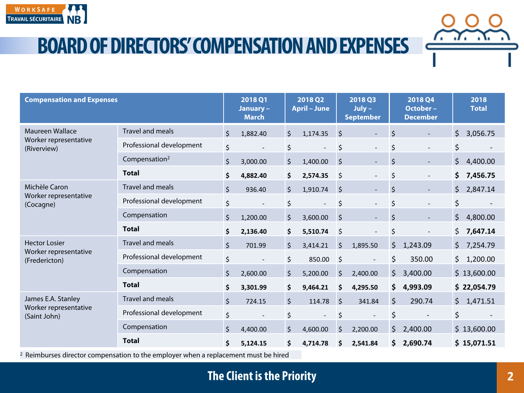

| <b>Compensation and Expenses</b>                                                               |                           |         | 2018 Q1<br>January-<br><b>March</b> |         | 2018 Q2<br><b>April - June</b> |         | 2018 Q3<br>$July -$<br><b>September</b> |         | <b>2018 Q4</b><br>October-<br><b>December</b> |         | 2018<br><b>Total</b> |
|------------------------------------------------------------------------------------------------|---------------------------|---------|-------------------------------------|---------|--------------------------------|---------|-----------------------------------------|---------|-----------------------------------------------|---------|----------------------|
| <b>Maureen Wallace</b><br>Worker representative<br>(Riverview)                                 | <b>Travel and meals</b>   | $\zeta$ | 1,882.40                            | $\zeta$ | 1,174.35                       | $\zeta$ | ÷.                                      | $\zeta$ |                                               | \$      | 3,056.75             |
|                                                                                                | Professional development  | \$      |                                     | \$      |                                | \$      | $\blacksquare$                          | \$      |                                               | \$      |                      |
|                                                                                                | Compensation <sup>2</sup> | $\zeta$ | 3,000.00                            | $\zeta$ | 1,400.00                       | $\zeta$ | $\mathbb{L}^+$                          | \$      | $\overline{a}$                                | \$      | 4,400.00             |
|                                                                                                | <b>Total</b>              | \$      | 4,882.40                            | \$      | 2,574.35                       | \$      | $\overline{\phantom{0}}$                | \$      | $\overline{\phantom{a}}$                      | \$      | 7,456.75             |
| Michèle Caron<br>Worker representative<br>(Cocagne)                                            | <b>Travel and meals</b>   | $\zeta$ | 936.40                              | $\zeta$ | 1,910.74                       | $\zeta$ | $\blacksquare$                          | \$      | $\overline{\phantom{a}}$                      | $\zeta$ | 2,847.14             |
|                                                                                                | Professional development  | \$      |                                     | \$      | $\overline{\phantom{a}}$       | \$      | $\overline{\phantom{a}}$                | \$      | $\overline{a}$                                | \$      |                      |
|                                                                                                | Compensation              | $\zeta$ | 1,200.00                            | $\zeta$ | 3,600.00                       | $\zeta$ |                                         | $\zeta$ |                                               | \$      | 4,800.00             |
|                                                                                                | <b>Total</b>              | \$      | 2,136.40                            | \$      | 5,510.74                       | \$      |                                         | \$      |                                               | \$      | 7,647.14             |
| <b>Hector Losier</b><br>Worker representative<br>(Fredericton)                                 | <b>Travel and meals</b>   | $\zeta$ | 701.99                              | $\zeta$ | 3,414.21                       | $\zeta$ | 1,895.50                                | \$      | 1,243.09                                      | \$      | 7,254.79             |
|                                                                                                | Professional development  | \$      |                                     | $\zeta$ | 850.00                         | $\zeta$ | $\overline{\phantom{a}}$                | \$      | 350.00                                        | \$      | 1,200.00             |
|                                                                                                | Compensation              | $\zeta$ | 2,600.00                            | $\zeta$ | 5,200.00                       | $\zeta$ | 2,400.00                                | \$      | 3,400.00                                      |         | \$13,600.00          |
|                                                                                                | <b>Total</b>              | \$      | 3,301.99                            | \$      | 9,464.21                       | \$      | 4,295.50                                | \$      | 4,993.09                                      |         | \$22,054.79          |
| James E.A. Stanley<br>Worker representative<br>(Saint John)                                    | <b>Travel and meals</b>   | $\zeta$ | 724.15                              | $\zeta$ | 114.78                         | \$      | 341.84                                  | $\zeta$ | 290.74                                        | \$      | 1,471.51             |
|                                                                                                | Professional development  | \$      |                                     | \$      | $\overline{\phantom{a}}$       | \$      | $\overline{\phantom{a}}$                | $\zeta$ |                                               | \$      |                      |
|                                                                                                | Compensation              | $\zeta$ | 4,400.00                            | $\zeta$ | 4,600.00                       | $\zeta$ | 2,200.00                                | \$      | 2,400.00                                      |         | \$13,600.00          |
|                                                                                                | <b>Total</b>              | \$      | 5,124.15                            | Ś       | 4,714.78                       | Ś       | 2,541.84                                |         | \$2,690.74                                    |         | \$15,071.51          |
| <sup>2</sup> Reimburses director compensation to the employer when a replacement must be hired |                           |         |                                     |         |                                |         |                                         |         |                                               |         |                      |

**The Client is the Priority**

*6. J. A*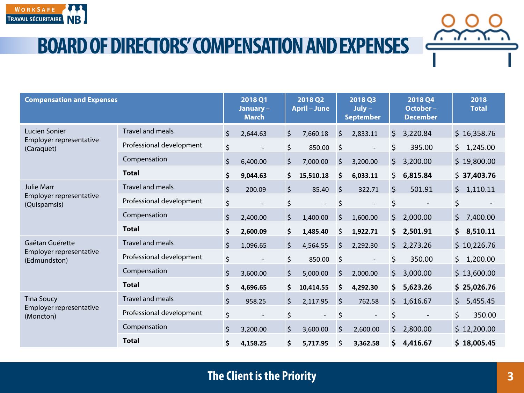

| <b>Compensation and Expenses</b>                             |                          |         | 2018 Q1<br>January-<br><b>March</b> | 2018 Q2<br><b>April - June</b> |                          | 2018 Q3<br>$July -$<br><b>September</b> |                          |         | <b>2018 Q4</b><br>October-<br><b>December</b> |     | 2018<br><b>Total</b> |  |
|--------------------------------------------------------------|--------------------------|---------|-------------------------------------|--------------------------------|--------------------------|-----------------------------------------|--------------------------|---------|-----------------------------------------------|-----|----------------------|--|
| Lucien Sonier<br>Employer representative<br>(Caraquet)       | <b>Travel and meals</b>  | $\zeta$ | 2,644.63                            | $\zeta$                        | 7,660.18                 | $\zeta$                                 | 2,833.11                 | $\zeta$ | 3,220.84                                      |     | \$16,358.76          |  |
|                                                              | Professional development | \$      |                                     | $\zeta$                        | 850.00                   | \$                                      |                          | \$      | 395.00                                        | \$  | 1,245.00             |  |
|                                                              | Compensation             | $\zeta$ | 6,400.00                            | $\zeta$                        | 7,000.00                 | \$                                      | 3,200.00                 | $\zeta$ | 3,200.00                                      |     | \$19,800.00          |  |
|                                                              | <b>Total</b>             | \$      | 9,044.63                            | \$                             | 15,510.18                | \$                                      | 6,033.11                 | \$      | 6,815.84                                      | \$  | 37,403.76            |  |
| <b>Julie Marr</b><br>Employer representative<br>(Quispamsis) | Travel and meals         | $\zeta$ | 200.09                              | $\zeta$                        | 85.40                    | $\zeta$                                 | 322.71                   | $\zeta$ | 501.91                                        | \$  | 1,110.11             |  |
|                                                              | Professional development | \$      | $\qquad \qquad -$                   | \$                             | $\overline{\phantom{a}}$ | \$                                      | $\overline{\phantom{a}}$ | \$      |                                               | \$  |                      |  |
|                                                              | Compensation             | \$      | 2,400.00                            | $\zeta$                        | 1,400.00                 | \$                                      | 1,600.00                 | \$      | 2,000.00                                      | \$  | 7,400.00             |  |
|                                                              | <b>Total</b>             | \$      | 2,600.09                            | \$                             | 1,485.40                 | \$                                      | 1,922.71                 | \$      | 2,501.91                                      | \$  | 8,510.11             |  |
| Gaëtan Guérette<br>Employer representative<br>(Edmundston)   | <b>Travel and meals</b>  | $\zeta$ | 1,096.65                            | $\zeta$                        | 4,564.55                 | \$                                      | 2,292.30                 | \$      | 2,273.26                                      |     | \$10,226.76          |  |
|                                                              | Professional development | \$      |                                     | $\zeta$                        | 850.00                   | \$                                      | $\overline{\phantom{a}}$ | \$      | 350.00                                        | \$  | 1,200.00             |  |
|                                                              | Compensation             | $\zeta$ | 3,600.00                            | $\zeta$                        | 5,000.00                 | \$                                      | 2,000.00                 | \$      | 3,000.00                                      |     | \$13,600.00          |  |
|                                                              | <b>Total</b>             | \$      | 4,696.65                            | \$                             | 10,414.55                | \$                                      | 4,292.30                 | \$      | 5,623.26                                      |     | \$25,026.76          |  |
| <b>Tina Soucy</b><br>Employer representative<br>(Moncton)    | Travel and meals         | $\zeta$ | 958.25                              | $\zeta$                        | 2,117.95                 | $\zeta$                                 | 762.58                   | $\zeta$ | 1,616.67                                      | \$  | 5,455.45             |  |
|                                                              | Professional development | \$      |                                     | \$                             |                          | \$                                      |                          | \$      |                                               | \$  | 350.00               |  |
|                                                              | Compensation             | $\zeta$ | 3,200.00                            | $\zeta$                        | 3,600.00                 | \$                                      | 2,600.00                 | \$      | 2,800.00                                      | \$. | 12,200.00            |  |
|                                                              | <b>Total</b>             | \$      | 4,158.25                            | \$                             | 5,717.95                 | \$                                      | 3,362.58                 | \$      | 4,416.67                                      |     | \$18,005.45          |  |

7. . 7. . X.